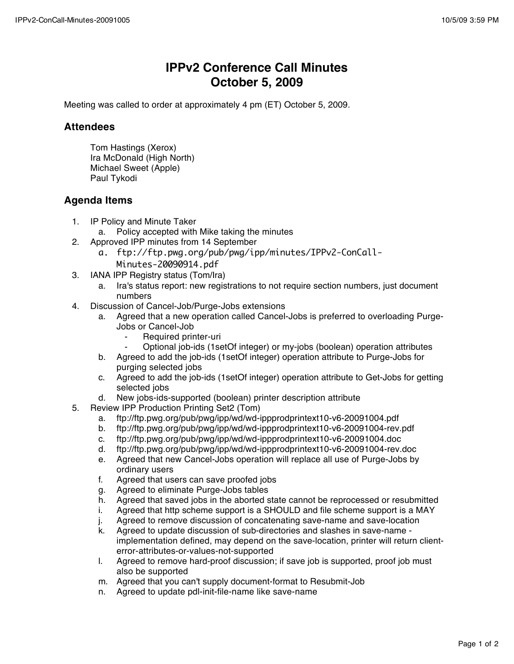## **IPPv2 Conference Call Minutes October 5, 2009**

Meeting was called to order at approximately 4 pm (ET) October 5, 2009.

## **Attendees**

Tom Hastings (Xerox) Ira McDonald (High North) Michael Sweet (Apple) Paul Tykodi

## **Agenda Items**

- 1. IP Policy and Minute Taker
	- a. Policy accepted with Mike taking the minutes
- 2. Approved IPP minutes from 14 September
	- a. ftp://ftp.pwg.org/pub/pwg/ipp/minutes/IPPv2-ConCall-Minutes-20090914.pdf
- 3. IANA IPP Registry status (Tom/Ira)
	- a. Ira's status report: new registrations to not require section numbers, just document numbers
- 4. Discussion of Cancel-Job/Purge-Jobs extensions
	- a. Agreed that a new operation called Cancel-Jobs is preferred to overloading Purge-Jobs or Cancel-Job
		- Required printer-uri
		- ⁃ Optional job-ids (1setOf integer) or my-jobs (boolean) operation attributes
	- b. Agreed to add the job-ids (1setOf integer) operation attribute to Purge-Jobs for purging selected jobs
	- c. Agreed to add the job-ids (1setOf integer) operation attribute to Get-Jobs for getting selected jobs
	- d. New jobs-ids-supported (boolean) printer description attribute
- 5. Review IPP Production Printing Set2 (Tom)
	- a. ftp://ftp.pwg.org/pub/pwg/ipp/wd/wd-ippprodprintext10-v6-20091004.pdf
	- b. ftp://ftp.pwg.org/pub/pwg/ipp/wd/wd-ippprodprintext10-v6-20091004-rev.pdf
	- c. ftp://ftp.pwg.org/pub/pwg/ipp/wd/wd-ippprodprintext10-v6-20091004.doc
	- d. ftp://ftp.pwg.org/pub/pwg/ipp/wd/wd-ippprodprintext10-v6-20091004-rev.doc
	- e. Agreed that new Cancel-Jobs operation will replace all use of Purge-Jobs by ordinary users
	- f. Agreed that users can save proofed jobs
	- g. Agreed to eliminate Purge-Jobs tables
	- h. Agreed that saved jobs in the aborted state cannot be reprocessed or resubmitted
	- i. Agreed that http scheme support is a SHOULD and file scheme support is a MAY
	- j. Agreed to remove discussion of concatenating save-name and save-location
	- k. Agreed to update discussion of sub-directories and slashes in save-name implementation defined, may depend on the save-location, printer will return clienterror-attributes-or-values-not-supported
	- l. Agreed to remove hard-proof discussion; if save job is supported, proof job must also be supported
	- m. Agreed that you can't supply document-format to Resubmit-Job
	- n. Agreed to update pdl-init-file-name like save-name